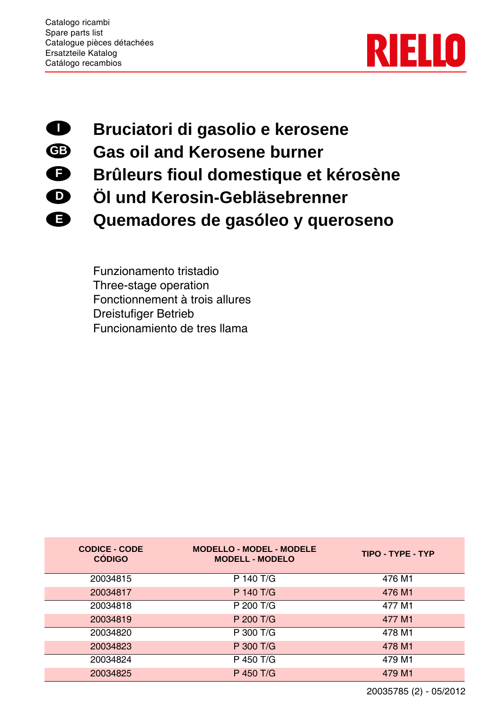

- **Bruciatori di gasolio e kerosene I**
- **Gas oil and Kerosene burner GB**
- **Brûleurs fioul domestique et kérosène F**
- **Öl und Kerosin-Gebläsebrenner D**
- **Quemadores de gasóleo y queroseno E**

Funzionamento tristadio Three-stage operation Fonctionnement à trois allures Dreistufiger Betrieb Funcionamiento de tres llama

| <b>CODICE - CODE</b><br><b>CÓDIGO</b> | <b>MODELLO - MODEL - MODELE</b><br><b>MODELL - MODELO</b> | TIPO - TYPE - TYP |
|---------------------------------------|-----------------------------------------------------------|-------------------|
| 20034815                              | P 140 T/G                                                 | 476 M1            |
| 20034817                              | P 140 T/G                                                 | 476 M1            |
| 20034818                              | P 200 T/G                                                 | 477 M1            |
| 20034819                              | P 200 T/G                                                 | 477 M1            |
| 20034820                              | P 300 T/G                                                 | 478 M1            |
| 20034823                              | P 300 T/G                                                 | 478 M1            |
| 20034824                              | P 450 T/G                                                 | 479 M1            |
| 20034825                              | P 450 T/G                                                 | 479 M1            |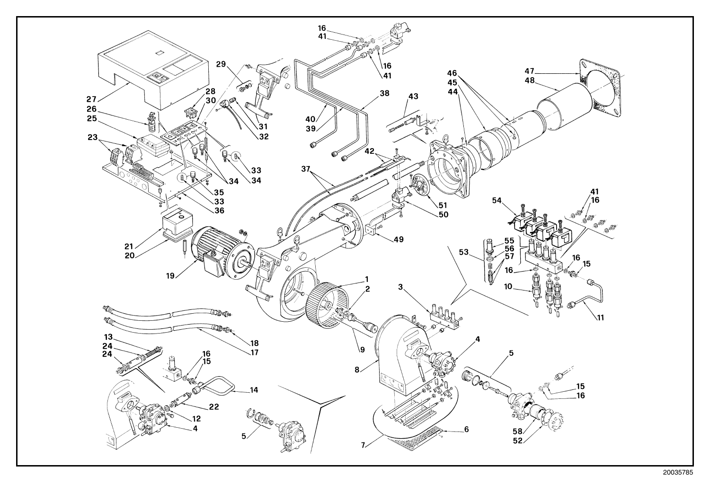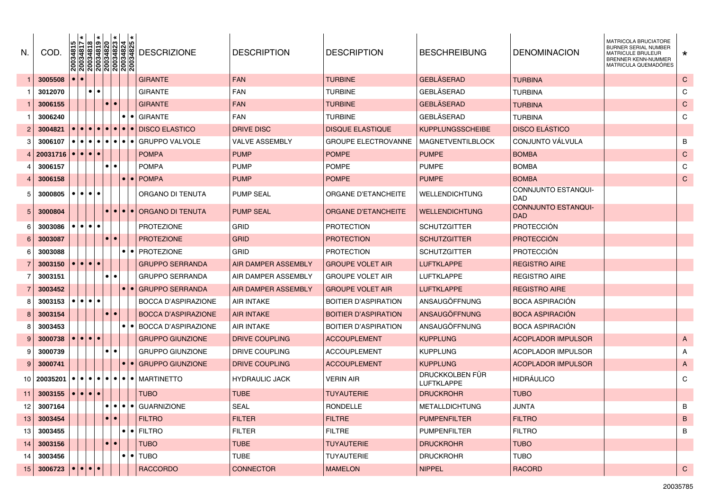| N. | COD.                                                      | $\begin{array}{ l l l l l } \hline 20034815 \\ \hline 20034817 \\ \hline 20034818 \\ \hline 20034819 \\ \hline 20034819 \\ \hline 20034820 \\ \hline 20034823 \\ \hline 20034824 \\ \hline 20034824 \\ \hline \end{array}$ |                                    |           |                         |           |                         | <b>DESCRIZIONE</b>                                                                 | <b>DESCRIPTION</b>    | <b>DESCRIPTION</b>          | <b>BESCHREIBUNG</b>           | <b>DENOMINACION</b>                      | MATRICOLA BRUCIATORE<br>BURNER SERIAL NUMBER<br><b>MATRICULE BRULEUR</b><br>BRENNER KENN-NUMMER<br>MATRICULA QUEMADÓRES | $\star$      |
|----|-----------------------------------------------------------|----------------------------------------------------------------------------------------------------------------------------------------------------------------------------------------------------------------------------|------------------------------------|-----------|-------------------------|-----------|-------------------------|------------------------------------------------------------------------------------|-----------------------|-----------------------------|-------------------------------|------------------------------------------|-------------------------------------------------------------------------------------------------------------------------|--------------|
|    | 3005508                                                   |                                                                                                                                                                                                                            |                                    |           |                         |           |                         | <b>GIRANTE</b>                                                                     | <b>FAN</b>            | <b>TURBINE</b>              | <b>GEBLÄSERAD</b>             | <b>TURBINA</b>                           |                                                                                                                         | $\mathsf{C}$ |
|    | 3012070                                                   |                                                                                                                                                                                                                            | $\bullet\bullet$                   |           |                         |           |                         | <b>GIRANTE</b>                                                                     | <b>FAN</b>            | TURBINE                     | <b>GEBLÄSERAD</b>             | <b>TURBINA</b>                           |                                                                                                                         | C            |
|    | 3006155                                                   |                                                                                                                                                                                                                            |                                    |           |                         |           |                         | <b>GIRANTE</b>                                                                     | <b>FAN</b>            | <b>TURBINE</b>              | <b>GEBLÄSERAD</b>             | <b>TURBINA</b>                           |                                                                                                                         | $\mathsf{C}$ |
|    | 3006240                                                   |                                                                                                                                                                                                                            |                                    |           |                         |           |                         | <b>GIRANTE</b>                                                                     | <b>FAN</b>            | <b>TURBINE</b>              | GEBLÄSERAD                    | <b>TURBINA</b>                           |                                                                                                                         | C            |
|    | 3004821                                                   |                                                                                                                                                                                                                            |                                    |           |                         |           | $\bullet$               | <b>DISCO ELASTICO</b>                                                              | <b>DRIVE DISC</b>     | <b>DISQUE ELASTIQUE</b>     | <b>KUPPLUNGSSCHEIBE</b>       | <b>DISCO ELÁSTICO</b>                    |                                                                                                                         |              |
| 3  | 3006107                                                   | $\bullet$                                                                                                                                                                                                                  |                                    |           |                         |           | $\bullet$               | <b>GRUPPO VALVOLE</b>                                                              | <b>VALVE ASSEMBLY</b> | <b>GROUPE ELECTROVANNE</b>  | <b>MAGNETVENTILBLOCK</b>      | CONJUNTO VÁLVULA                         |                                                                                                                         | B            |
|    | 20031716                                                  |                                                                                                                                                                                                                            | $ \bullet \bullet \bullet \bullet$ |           |                         |           |                         | <b>POMPA</b>                                                                       | <b>PUMP</b>           | <b>POMPE</b>                | <b>PUMPE</b>                  | <b>BOMBA</b>                             |                                                                                                                         | $\mathsf{C}$ |
| 4  | 3006157                                                   |                                                                                                                                                                                                                            |                                    | $\bullet$ |                         |           |                         | <b>POMPA</b>                                                                       | <b>PUMP</b>           | <b>POMPE</b>                | <b>PUMPE</b>                  | <b>BOMBA</b>                             |                                                                                                                         | C            |
|    | 3006158                                                   |                                                                                                                                                                                                                            |                                    |           |                         |           | $\bullet$               | <b>POMPA</b>                                                                       | <b>PUMP</b>           | <b>POMPE</b>                | <b>PUMPE</b>                  | <b>BOMBA</b>                             |                                                                                                                         | $\mathsf{C}$ |
| 5  | 3000805                                                   |                                                                                                                                                                                                                            | $\bullet\bullet\bullet$            |           |                         |           |                         | ORGANO DI TENUTA                                                                   | <b>PUMP SEAL</b>      | ORGANE D'ETANCHEITE         | WELLENDICHTUNG                | CONNJUNTO ESTANQUI-<br><b>DAD</b>        |                                                                                                                         |              |
| 5  | 3000804                                                   |                                                                                                                                                                                                                            |                                    |           |                         |           | $  \bullet   \bullet  $ | ORGANO DI TENUTA                                                                   | <b>PUMP SEAL</b>      | <b>ORGANE D'ETANCHEITE</b>  | <b>WELLENDICHTUNG</b>         | <b>CONNJUNTO ESTANQUI-</b><br><b>DAD</b> |                                                                                                                         |              |
| 6  | 3003086                                                   |                                                                                                                                                                                                                            | $\bullet\bullet\bullet\bullet$     |           |                         |           |                         | <b>PROTEZIONE</b>                                                                  | GRID                  | PROTECTION                  | <b>SCHUTZGITTER</b>           | <b>PROTECCIÓN</b>                        |                                                                                                                         |              |
| 6  | 3003087                                                   |                                                                                                                                                                                                                            |                                    | $\bullet$ |                         |           |                         | <b>PROTEZIONE</b>                                                                  | <b>GRID</b>           | <b>PROTECTION</b>           | <b>SCHUTZGITTER</b>           | <b>PROTECCIÓN</b>                        |                                                                                                                         |              |
| 6  | 3003088                                                   |                                                                                                                                                                                                                            |                                    |           |                         | $\bullet$ | $\bullet$               | <b>PROTEZIONE</b>                                                                  | <b>GRID</b>           | PROTECTION                  | <b>SCHUTZGITTER</b>           | <b>PROTECCIÓN</b>                        |                                                                                                                         |              |
|    | 3003150                                                   |                                                                                                                                                                                                                            | $\bullet\bullet\bullet$            |           |                         |           |                         | <b>GRUPPO SERRANDA</b>                                                             | AIR DAMPER ASSEMBLY   | <b>GROUPE VOLET AIR</b>     | <b>LUFTKLAPPE</b>             | <b>REGISTRO AIRE</b>                     |                                                                                                                         |              |
|    | 3003151                                                   |                                                                                                                                                                                                                            |                                    | $\bullet$ |                         |           |                         | <b>GRUPPO SERRANDA</b>                                                             | AIR DAMPER ASSEMBLY   | GROUPE VOLET AIR            | <b>LUFTKLAPPE</b>             | <b>REGISTRO AIRE</b>                     |                                                                                                                         |              |
|    | 3003452                                                   |                                                                                                                                                                                                                            |                                    |           |                         |           |                         | <b>GRUPPO SERRANDA</b>                                                             | AIR DAMPER ASSEMBLY   | <b>GROUPE VOLET AIR</b>     | <b>LUFTKLAPPE</b>             | <b>REGISTRO AIRE</b>                     |                                                                                                                         |              |
| 8  | 3003153                                                   |                                                                                                                                                                                                                            | $\bullet\bullet\bullet\bullet$     |           |                         |           |                         | <b>BOCCA D'ASPIRAZIONE</b>                                                         | <b>AIR INTAKE</b>     | BOITIER D'ASPIRATION        | ANSAUGÖFFNUNG                 | <b>BOCA ASPIRACION</b>                   |                                                                                                                         |              |
| 8  | 3003154                                                   |                                                                                                                                                                                                                            |                                    | $\bullet$ |                         |           |                         | <b>BOCCA D'ASPIRAZIONE</b>                                                         | AIR INTAKE            | <b>BOITIER D'ASPIRATION</b> | <b>ANSAUGÖFFNUNG</b>          | <b>BOCA ASPIRACION</b>                   |                                                                                                                         |              |
| 8  | 3003453                                                   |                                                                                                                                                                                                                            |                                    |           |                         | ∣●        | I O I                   | <b>BOCCA D'ASPIRAZIONE</b>                                                         | <b>AIR INTAKE</b>     | BOITIER D'ASPIRATION        | ANSAUGÖFFNUNG                 | <b>BOCA ASPIRACION</b>                   |                                                                                                                         |              |
| 9  | 3000738                                                   |                                                                                                                                                                                                                            | $\bullet\bullet\bullet$            |           |                         |           |                         | <b>GRUPPO GIUNZIONE</b>                                                            | DRIVE COUPLING        | <b>ACCOUPLEMENT</b>         | <b>KUPPLUNG</b>               | <b>ACOPLADOR IMPULSOR</b>                |                                                                                                                         | $\mathsf{A}$ |
| 9  | 3000739                                                   |                                                                                                                                                                                                                            |                                    | $\bullet$ |                         |           |                         | <b>GRUPPO GIUNZIONE</b>                                                            | DRIVE COUPLING        | <b>ACCOUPLEMENT</b>         | <b>KUPPLUNG</b>               | <b>ACOPLADOR IMPULSOR</b>                |                                                                                                                         | A            |
| 9  | 3000741                                                   |                                                                                                                                                                                                                            |                                    |           |                         |           |                         | <b>GRUPPO GIUNZIONE</b>                                                            | DRIVE COUPLING        | <b>ACCOUPLEMENT</b>         | <b>KUPPLUNG</b>               | <b>ACOPLADOR IMPULSOR</b>                |                                                                                                                         | $\mathsf{A}$ |
| 10 | 20035201                                                  | $\bullet$ 1                                                                                                                                                                                                                |                                    |           |                         |           |                         | $\bullet   \bullet   \bullet   \bullet   \bullet   \bullet   \bullet  $ MARTINETTO | <b>HYDRAULIC JACK</b> | VERIN AIR                   | DRUCKKOLBEN FUR<br>LUFTKLAPPE | <b>HIDRAULICO</b>                        |                                                                                                                         | C            |
| 11 | 3003155                                                   |                                                                                                                                                                                                                            | $  \bullet   \bullet   \bullet  $  |           |                         |           |                         | <b>TUBO</b>                                                                        | <b>TUBE</b>           | <b>TUYAUTERIE</b>           | <b>DRUCKROHR</b>              | <b>TUBO</b>                              |                                                                                                                         |              |
| 12 | 3007164                                                   |                                                                                                                                                                                                                            |                                    | $\bullet$ |                         |           |                         | $\bullet$ $\bullet$ $\bullet$ $\bullet$ GUARNIZIONE                                | <b>SEAL</b>           | <b>RONDELLE</b>             | <b>METALLDICHTUNG</b>         | <b>JUNTA</b>                             |                                                                                                                         | B            |
| 13 | 3003454                                                   |                                                                                                                                                                                                                            |                                    |           | $  \bullet   \bullet  $ |           |                         | <b>FILTRO</b>                                                                      | <b>FILTER</b>         | <b>FILTRE</b>               | <b>PUMPENFILTER</b>           | <b>FILTRO</b>                            |                                                                                                                         | $\mathsf B$  |
| 13 | 3003455                                                   |                                                                                                                                                                                                                            |                                    |           |                         | $\bullet$ |                         | <b>•</b> FILTRO                                                                    | <b>FILTER</b>         | <b>FILTRE</b>               | PUMPENFILTER                  | <b>FILTRO</b>                            |                                                                                                                         | B            |
| 14 | 3003156                                                   |                                                                                                                                                                                                                            |                                    |           | $\bullet\bullet$        |           |                         | <b>TUBO</b>                                                                        | <b>TUBE</b>           | <b>TUYAUTERIE</b>           | <b>DRUCKROHR</b>              | <b>TUBO</b>                              |                                                                                                                         |              |
| 14 | 3003456                                                   |                                                                                                                                                                                                                            |                                    |           |                         | $\bullet$ |                         | $\bullet$ TUBO                                                                     | <b>TUBE</b>           | <b>TUYAUTERIE</b>           | <b>DRUCKROHR</b>              | <b>TUBO</b>                              |                                                                                                                         |              |
| 15 | 3006723 $\left \bullet\right \bullet\left \bullet\right $ |                                                                                                                                                                                                                            |                                    |           |                         |           |                         | RACCORDO                                                                           | <b>CONNECTOR</b>      | <b>MAMELON</b>              | <b>NIPPEL</b>                 | <b>RACORD</b>                            |                                                                                                                         | $\mathbf C$  |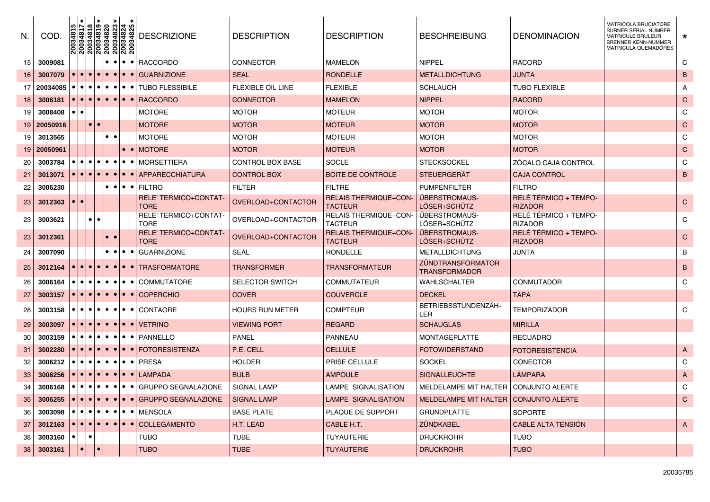| N. | COD.        | 20034815               |                         |                        | $\begin{array}{ l l l } \hline 70034817 \\ \hline 70034818 \\ \hline 70034819 \\ \hline 70034820 \\ \hline 70034823 \\ \hline 70034823 \\ \hline 70034824 \\ \hline 70034825 \\ \hline \end{array}$ | <b>DESCRIZIONE</b>                                                                                                                                        | <b>DESCRIPTION</b>       | <b>DESCRIPTION</b>                             | <b>BESCHREIBUNG</b>                              | DENOMINACION                            | <b>MATRICOLA BRUCIATORE</b><br>BURNER SERIAL NUMBER<br>MATRICULE BRULEUR<br><b>BRENNER KENN-NUMMER</b><br>MATRICULA QUEMADÓRES | $\star$        |
|----|-------------|------------------------|-------------------------|------------------------|-----------------------------------------------------------------------------------------------------------------------------------------------------------------------------------------------------|-----------------------------------------------------------------------------------------------------------------------------------------------------------|--------------------------|------------------------------------------------|--------------------------------------------------|-----------------------------------------|--------------------------------------------------------------------------------------------------------------------------------|----------------|
| 15 | 3009081     |                        |                         |                        |                                                                                                                                                                                                     | $\bullet$ $\bullet$ $\bullet$ $\bullet$ RACCORDO                                                                                                          | <b>CONNECTOR</b>         | <b>MAMELON</b>                                 | <b>NIPPEL</b>                                    | <b>RACORD</b>                           |                                                                                                                                | C              |
| 16 | 3007079     |                        |                         |                        | $\bullet\bullet\bullet\bullet$                                                                                                                                                                      | <b>GUARNIZIONE</b>                                                                                                                                        | <b>SEAL</b>              | <b>RONDELLE</b>                                | METALLDICHTUNG                                   | <b>JUNTA</b>                            |                                                                                                                                | B              |
| 17 | 20034085    | $\bullet$<br>$\bullet$ | $\bullet\bullet$        |                        |                                                                                                                                                                                                     | $\bullet$ $\bullet$ $\bullet$ $\bullet$ $\bullet$ TUBO FLESSIBILE                                                                                         | <b>FLEXIBLE OIL LINE</b> | <b>FLEXIBLE</b>                                | <b>SCHLAUCH</b>                                  | <b>TUBO FLEXIBLE</b>                    |                                                                                                                                | A              |
| 18 | 3006181     |                        |                         |                        | ● ● ● ● ● ● ● ●                                                                                                                                                                                     | <b>RACCORDO</b>                                                                                                                                           | <b>CONNECTOR</b>         | <b>MAMELON</b>                                 | <b>NIPPEL</b>                                    | <b>RACORD</b>                           |                                                                                                                                | $\mathbf C$    |
| 19 | 3008408     | $\bullet$              |                         |                        |                                                                                                                                                                                                     | <b>MOTORE</b>                                                                                                                                             | <b>MOTOR</b>             | <b>MOTEUR</b>                                  | <b>MOTOR</b>                                     | <b>MOTOR</b>                            |                                                                                                                                | C              |
| 19 | 20050916    |                        | $\bullet$               | l o                    |                                                                                                                                                                                                     | <b>MOTORE</b>                                                                                                                                             | <b>MOTOR</b>             | <b>MOTEUR</b>                                  | <b>MOTOR</b>                                     | <b>MOTOR</b>                            |                                                                                                                                | $\mathbf C$    |
| 19 | 3013565     |                        |                         | $\bullet$              |                                                                                                                                                                                                     | <b>MOTORE</b>                                                                                                                                             | <b>MOTOR</b>             | <b>MOTEUR</b>                                  | <b>MOTOR</b>                                     | <b>MOTOR</b>                            |                                                                                                                                | C              |
|    | 19 20050961 |                        |                         |                        |                                                                                                                                                                                                     | I●I MOTORE                                                                                                                                                | <b>MOTOR</b>             | <b>MOTEUR</b>                                  | MOTOR                                            | <b>MOTOR</b>                            |                                                                                                                                | $\mathbf C$    |
| 20 | 3003784     |                        |                         | $\bullet$<br>$\bullet$ | $\bullet\bullet\bullet$                                                                                                                                                                             | <b>MORSETTIERA</b>                                                                                                                                        | <b>CONTROL BOX BASE</b>  | <b>SOCLE</b>                                   | <b>STECKSOCKEL</b>                               | ZOCALO CAJA CONTROL                     |                                                                                                                                | C              |
| 21 | 3013071     | $\bullet$              |                         | $\bullet$              | $\bullet\bullet$                                                                                                                                                                                    | APPARECCHIATURA                                                                                                                                           | <b>CONTROL BOX</b>       | <b>BOITE DE CONTROLE</b>                       | <b>STEUERGERAT</b>                               | <b>CAJA CONTROL</b>                     |                                                                                                                                | B              |
| 22 | 3006230     |                        |                         |                        | .                                                                                                                                                                                                   | <b>FILTRO</b>                                                                                                                                             | <b>FILTER</b>            | <b>FILTRE</b>                                  | <b>PUMPENFILTER</b>                              | <b>FILTRO</b>                           |                                                                                                                                |                |
| 23 | 3012363     |                        |                         |                        |                                                                                                                                                                                                     | <b>RELE' TERMICO+CONTAT-</b><br><b>TORE</b>                                                                                                               | OVERLOAD+CONTACTOR       | <b>RELAIS THERMIQUE+CON-</b><br><b>TACTEUR</b> | <b>UBERSTROMAUS-</b><br>LÖSER+SCHÜTZ             | RELÉ TÉRMICO + TEMPO-<br><b>RIZADOR</b> |                                                                                                                                | $\mathsf{C}$   |
| 23 | 3003621     |                        | $\bullet$               | $\bullet$              |                                                                                                                                                                                                     | RELE' TERMICO+CONTAT-<br><b>TORE</b>                                                                                                                      | OVERLOAD+CONTACTOR       | <b>RELAIS THERMIQUE+CON-</b><br><b>TACTEUR</b> | <b>ÜBERSTROMAUS</b><br>LÖSER+SCHÜTZ              | RELÉ TÉRMICO + TEMPO-<br><b>RIZADOR</b> |                                                                                                                                | C              |
| 23 | 3012361     |                        |                         |                        |                                                                                                                                                                                                     | <b>RELE' TERMICO+CONTAT-</b><br><b>TORE</b>                                                                                                               | OVERLOAD+CONTACTOR       | <b>RELAIS THERMIQUE+CON-</b><br><b>TACTEUR</b> | <b>ÜBERSTROMAUS-</b><br>LÖSER+SCHÜTZ             | RELÉ TÉRMICO + TEMPO-<br><b>RIZADOR</b> |                                                                                                                                | $\mathsf{C}$   |
| 24 | 3007090     |                        |                         |                        | .                                                                                                                                                                                                   | <b>GUARNIZIONE</b>                                                                                                                                        | <b>SEAL</b>              | <b>RONDELLE</b>                                | <b>METALLDICHTUNG</b>                            | JUNTA                                   |                                                                                                                                | $\mathsf B$    |
| 25 | 3012164     | $\bullet$              | $  \bullet   \bullet  $ |                        |                                                                                                                                                                                                     | ● ● ● ● TRASFORMATORE                                                                                                                                     | <b>TRANSFORMER</b>       | <b>TRANSFORMATEUR</b>                          | <b>ZÜNDTRANSFORMATOR</b><br><b>TRANSFORMADOR</b> |                                         |                                                                                                                                | B              |
| 26 | 3006164     | $\bullet$<br>$\bullet$ | $\bullet\bullet$        |                        |                                                                                                                                                                                                     | $\bullet$ $\bullet$ $\bullet$ $\bullet$ $\circ$ commutatione                                                                                              | <b>SELECTOR SWITCH</b>   | <b>COMMUTATEUR</b>                             | WAHLSCHALTER                                     | CONMUTADOR                              |                                                                                                                                | C              |
| 27 | 3003157     |                        |                         |                        |                                                                                                                                                                                                     | $\left \bullet\right \bullet\left \bullet\right \bullet\right $ Coperchio                                                                                 | <b>COVER</b>             | <b>COUVERCLE</b>                               | <b>DECKEL</b>                                    | <b>TAPA</b>                             |                                                                                                                                |                |
| 28 | 3003158     |                        |                         |                        |                                                                                                                                                                                                     | $\bullet$ $\bullet$ $\bullet$ $\bullet$ $\bullet$ $\circ$ contagre                                                                                        | <b>HOURS RUN METER</b>   | <b>COMPTEUR</b>                                | BETRIEBSSTUNDENZÄH-<br>LER                       | <b>TEMPORIZADOR</b>                     |                                                                                                                                | C              |
| 29 | 3003097     |                        |                         |                        |                                                                                                                                                                                                     | $\bullet \bullet \bullet \bullet \bullet \bullet \bullet \bullet \bullet \bullet \bullet \bullet \bullet \bullet$                                         | <b>VIEWING PORT</b>      | <b>REGARD</b>                                  | <b>SCHAUGLAS</b>                                 | <b>MIRILLA</b>                          |                                                                                                                                |                |
| 30 | 3003159     |                        |                         |                        |                                                                                                                                                                                                     | $\bullet   \bullet   \bullet   \bullet  $ PANNELLO                                                                                                        | <b>PANEL</b>             | PANNEAU                                        | <b>MONTAGEPLATTE</b>                             | <b>RECUADRO</b>                         |                                                                                                                                |                |
| 31 | 3002280     |                        |                         |                        |                                                                                                                                                                                                     | ●   ●   ●   FOTORESISTENZA                                                                                                                                | P.E. CELL                | <b>CELLULE</b>                                 | <b>FOTOWIDERSTAND</b>                            | <b>FOTORESISTENCIA</b>                  |                                                                                                                                | $\overline{A}$ |
| 32 | 3006212     |                        |                         |                        |                                                                                                                                                                                                     | $\bullet$ $\bullet$ $\bullet$ $\bullet$ $\bullet$ Presa                                                                                                   | HOLDER                   | <b>PRISE CELLULE</b>                           | <b>SOCKEL</b>                                    | CONECTOR                                |                                                                                                                                | C              |
| 33 | 3006256     |                        |                         |                        |                                                                                                                                                                                                     | $\bullet$ $\bullet$ $\bullet$ $\bullet$ LAMPADA                                                                                                           | <b>BULB</b>              | <b>AMPOULE</b>                                 | <b>SIGNALLEUCHTE</b>                             | LÁMPARA                                 |                                                                                                                                | $\overline{A}$ |
| 34 | 3006168     | $\bullet$              |                         |                        | .                                                                                                                                                                                                   | <b>GRUPPO SEGNALAZIONE</b>                                                                                                                                | <b>SIGNAL LAMP</b>       | LAMPE SIGNALISATION                            | MELDELAMPE MIT HALTER                            | <b>CONJUNTO ALERTE</b>                  |                                                                                                                                | C              |
| 35 | 3006255     |                        |                         |                        |                                                                                                                                                                                                     | $\bullet$ $\bullet$ $\bullet$ $\bullet$ $\bullet$ GRUPPO SEGNALAZIONE                                                                                     | <b>SIGNAL LAMP</b>       | LAMPE SIGNALISATION                            | <b>MELDELAMPE MIT HALTER</b>                     | <b>CONJUNTO ALERTE</b>                  |                                                                                                                                | $\mathbf C$    |
| 36 | 3003098     | $\bullet$              |                         |                        |                                                                                                                                                                                                     | $\bullet\,\mid\!\bullet\!\mid\!\bullet\!\mid\!\bullet\!\mid\!\bullet\!\mid\!\bullet\!\mid\!\bullet\!\mid\!\bullet\!\mid\!\bullet\!\mid\!\textrm{MENSOLA}$ | <b>BASE PLATE</b>        | PLAQUE DE SUPPORT                              | <b>GRUNDPLATTE</b>                               | <b>SOPORTE</b>                          |                                                                                                                                |                |
| 37 | 3012163     | $\bullet$              |                         | $\bullet$              | $\bullet\, \bullet\, \bullet\, \bullet\, $                                                                                                                                                          | <b>COLLEGAMENTO</b>                                                                                                                                       | H.T. LEAD                | CABLE H.T.                                     | <b>ZUNDKABEL</b>                                 | <b>CABLE ALTA TENSION</b>               |                                                                                                                                | $\mathsf{A}$   |
| 38 | 3003160     |                        |                         |                        |                                                                                                                                                                                                     | TUBO                                                                                                                                                      | <b>TUBE</b>              | <b>TUYAUTERIE</b>                              | <b>DRUCKROHR</b>                                 | <b>TUBO</b>                             |                                                                                                                                |                |
| 38 | 3003161     | $\bullet$              |                         | <b>10</b>              |                                                                                                                                                                                                     | <b>TUBO</b>                                                                                                                                               | <b>TUBE</b>              | <b>TUYAUTERIE</b>                              | <b>DRUCKROHR</b>                                 | <b>TUBO</b>                             |                                                                                                                                |                |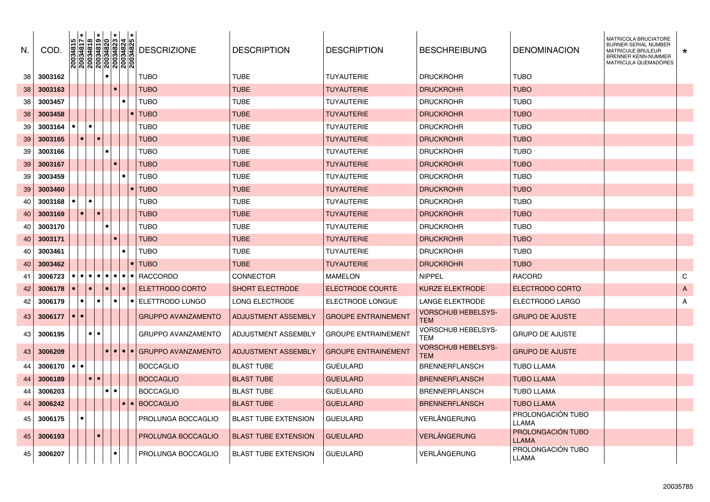| N. | COD.    | $\begin{array}{ l l l l l } \hline 20034815 \\ \hline 20034817 \\ \hline 20034818 \\ \hline 20034819 \\ \hline 20034820 \\ \hline 20034823 \\ \hline 20034823 \\ \hline 20034824 \\ \hline 20034825 \\ \hline \end{array}$ |           |           |           |                                       | <b>DESCRIZIONE</b>            | <b>DESCRIPTION</b>          | <b>DESCRIPTION</b>         | <b>BESCHREIBUNG</b>              | <b>DENOMINACION</b>                      | <b>MATRICOLA BRUCIATORE</b><br><b>BURNER SERIAL NUMBER</b><br><b>MATRICULE BRULEUR</b><br>BRENNER KENN-NUMMER<br>MATRICULA QUEMADÓRES | $\star$      |
|----|---------|----------------------------------------------------------------------------------------------------------------------------------------------------------------------------------------------------------------------------|-----------|-----------|-----------|---------------------------------------|-------------------------------|-----------------------------|----------------------------|----------------------------------|------------------------------------------|---------------------------------------------------------------------------------------------------------------------------------------|--------------|
| 38 | 3003162 |                                                                                                                                                                                                                            |           |           |           |                                       | <b>TUBO</b>                   | <b>TUBE</b>                 | <b>TUYAUTERIE</b>          | <b>DRUCKROHR</b>                 | <b>TUBO</b>                              |                                                                                                                                       |              |
| 38 | 3003163 |                                                                                                                                                                                                                            |           |           |           |                                       | <b>TUBO</b>                   | <b>TUBE</b>                 | <b>TUYAUTERIE</b>          | <b>DRUCKROHR</b>                 | <b>TUBO</b>                              |                                                                                                                                       |              |
| 38 | 3003457 |                                                                                                                                                                                                                            |           |           |           |                                       | <b>TUBO</b>                   | <b>TUBE</b>                 | <b>TUYAUTERIE</b>          | <b>DRUCKROHR</b>                 | <b>TUBO</b>                              |                                                                                                                                       |              |
| 38 | 3003458 |                                                                                                                                                                                                                            |           |           |           |                                       | <b>TUBO</b>                   | <b>TUBE</b>                 | <b>TUYAUTERIE</b>          | <b>DRUCKROHR</b>                 | <b>TUBO</b>                              |                                                                                                                                       |              |
| 39 | 3003164 |                                                                                                                                                                                                                            |           |           |           |                                       | TUBO                          | <b>TUBE</b>                 | <b>TUYAUTERIE</b>          | <b>DRUCKROHR</b>                 | <b>TUBO</b>                              |                                                                                                                                       |              |
| 39 | 3003165 | $\bullet$                                                                                                                                                                                                                  |           |           |           |                                       | <b>TUBO</b>                   | <b>TUBE</b>                 | <b>TUYAUTERIE</b>          | <b>DRUCKROHR</b>                 | <b>TUBO</b>                              |                                                                                                                                       |              |
| 39 | 3003166 |                                                                                                                                                                                                                            |           |           |           |                                       | TUBO                          | TUBE                        | <b>TUYAUTERIE</b>          | <b>DRUCKROHR</b>                 | TUBO                                     |                                                                                                                                       |              |
| 39 | 3003167 |                                                                                                                                                                                                                            |           |           |           |                                       | <b>TUBO</b>                   | <b>TUBE</b>                 | TUYAUTERIE                 | <b>DRUCKROHR</b>                 | <b>TUBO</b>                              |                                                                                                                                       |              |
| 39 | 3003459 |                                                                                                                                                                                                                            |           |           |           |                                       | <b>TUBO</b>                   | <b>TUBE</b>                 | TUYAUTERIE                 | <b>DRUCKROHR</b>                 | <b>TUBO</b>                              |                                                                                                                                       |              |
| 39 | 3003460 |                                                                                                                                                                                                                            |           |           |           |                                       | $\bullet$ TUBO                | <b>TUBE</b>                 | <b>TUYAUTERIE</b>          | <b>DRUCKROHR</b>                 | <b>TUBO</b>                              |                                                                                                                                       |              |
| 40 | 3003168 |                                                                                                                                                                                                                            |           |           |           |                                       | <b>TUBO</b>                   | <b>TUBE</b>                 | <b>TUYAUTERIE</b>          | <b>DRUCKROHR</b>                 | <b>TUBO</b>                              |                                                                                                                                       |              |
| 40 | 3003169 | $\bullet$                                                                                                                                                                                                                  |           |           |           |                                       | <b>TUBO</b>                   | <b>TUBE</b>                 | <b>TUYAUTERIE</b>          | <b>DRUCKROHR</b>                 | <b>TUBO</b>                              |                                                                                                                                       |              |
| 40 | 3003170 |                                                                                                                                                                                                                            |           |           |           |                                       | <b>TUBO</b>                   | <b>TUBE</b>                 | <b>TUYAUTERIE</b>          | <b>DRUCKROHR</b>                 | <b>TUBO</b>                              |                                                                                                                                       |              |
| 40 | 3003171 |                                                                                                                                                                                                                            |           |           |           |                                       | <b>TUBO</b>                   | <b>TUBE</b>                 | TUYAUTERIE                 | <b>DRUCKROHR</b>                 | <b>TUBO</b>                              |                                                                                                                                       |              |
| 40 | 3003461 |                                                                                                                                                                                                                            |           |           |           |                                       | <b>TUBO</b>                   | TUBE                        | <b>TUYAUTERIE</b>          | <b>DRUCKROHR</b>                 | TUBO                                     |                                                                                                                                       |              |
| 40 | 3003462 |                                                                                                                                                                                                                            |           |           |           |                                       | $\bullet$ TUBO                | <b>TUBE</b>                 | <b>TUYAUTERIE</b>          | <b>DRUCKROHR</b>                 | <b>TUBO</b>                              |                                                                                                                                       |              |
| 41 | 3006723 | $\bullet$                                                                                                                                                                                                                  | $\bullet$ | $\bullet$ |           | $\bullet\bullet\bullet\bullet\bullet$ | <b>RACCORDO</b>               | <b>CONNECTOR</b>            | <b>MAMELON</b>             | <b>NIPPEL</b>                    | <b>RACORD</b>                            |                                                                                                                                       | C            |
| 42 | 3006178 |                                                                                                                                                                                                                            | $\bullet$ |           |           |                                       | ELETTRODO CORTO               | <b>SHORT ELECTRODE</b>      | ELECTRODE COURTE           | <b>KURZE ELEKTRODE</b>           | ELECTRODO CORTO                          |                                                                                                                                       | A            |
| 42 | 3006179 | $\bullet$                                                                                                                                                                                                                  |           |           | $\bullet$ | $\bullet$                             | ELETTRODO LUNGO               | <b>LONG ELECTRODE</b>       | ELECTRODE LONGUE           | <b>LANGE ELEKTRODE</b>           | ELECTRODO LARGO                          |                                                                                                                                       | $\mathsf{A}$ |
| 43 | 3006177 | $\bullet$                                                                                                                                                                                                                  |           |           |           |                                       | <b>GRUPPO AVANZAMENTO</b>     | <b>ADJUSTMENT ASSEMBLY</b>  | <b>GROUPE ENTRAINEMENT</b> | VORSCHUB HEBELSYS-<br><b>TEM</b> | <b>GRUPO DE AJUSTE</b>                   |                                                                                                                                       |              |
| 43 | 3006195 |                                                                                                                                                                                                                            | $\bullet$ |           |           |                                       | <b>GRUPPO AVANZAMENTO</b>     | ADJUSTMENT ASSEMBLY         | <b>GROUPE ENTRAINEMENT</b> | VORSCHUB HEBELSYS-<br><b>TEM</b> | GRUPO DE AJUSTE                          |                                                                                                                                       |              |
| 43 | 3006209 |                                                                                                                                                                                                                            |           |           |           |                                       | ● ● ● GRUPPO AVANZAMENTO      | <b>ADJUSTMENT ASSEMBLY</b>  | <b>GROUPE ENTRAINEMENT</b> | VORSCHUB HEBELSYS-<br><b>TEM</b> | <b>GRUPO DE AJUSTE</b>                   |                                                                                                                                       |              |
| 44 | 3006170 |                                                                                                                                                                                                                            |           |           |           |                                       | <b>BOCCAGLIO</b>              | <b>BLAST TUBE</b>           | <b>GUEULARD</b>            | <b>BRENNERFLANSCH</b>            | TUBO LLAMA                               |                                                                                                                                       |              |
| 44 | 3006189 |                                                                                                                                                                                                                            |           |           |           |                                       | <b>BOCCAGLIO</b>              | <b>BLAST TUBE</b>           | <b>GUEULARD</b>            | <b>BRENNERFLANSCH</b>            | <b>TUBO LLAMA</b>                        |                                                                                                                                       |              |
| 44 | 3006203 |                                                                                                                                                                                                                            |           | $\bullet$ | $\bullet$ |                                       | <b>BOCCAGLIO</b>              | <b>BLAST TUBE</b>           | <b>GUEULARD</b>            | <b>BRENNERFLANSCH</b>            | <b>TUBO LLAMA</b>                        |                                                                                                                                       |              |
| 44 | 3006242 |                                                                                                                                                                                                                            |           |           |           |                                       | $\bullet$ $\bullet$ BOCCAGLIO | <b>BLAST TUBE</b>           | <b>GUEULARD</b>            | <b>BRENNERFLANSCH</b>            | <b>TUBO LLAMA</b>                        |                                                                                                                                       |              |
| 45 | 3006175 |                                                                                                                                                                                                                            |           |           |           |                                       | PROLUNGA BOCCAGLIO            | <b>BLAST TUBE EXTENSION</b> | <b>GUEULARD</b>            | VERLANGERUNG                     | PROLONGACIÓN TUBO<br>LLAMA               |                                                                                                                                       |              |
| 45 | 3006193 |                                                                                                                                                                                                                            |           |           |           |                                       | PROLUNGA BOCCAGLIO            | <b>BLAST TUBE EXTENSION</b> | <b>GUEULARD</b>            | <b>VERLANGERUNG</b>              | <b>PROLONGACIÓN TUBO</b><br><b>LLAMA</b> |                                                                                                                                       |              |
| 45 | 3006207 |                                                                                                                                                                                                                            |           |           |           |                                       | PROLUNGA BOCCAGLIO            | <b>BLAST TUBE EXTENSION</b> | <b>GUEULARD</b>            | VERLANGERUNG                     | PROLONGACIÓN TUBO<br>LLAMA               |                                                                                                                                       |              |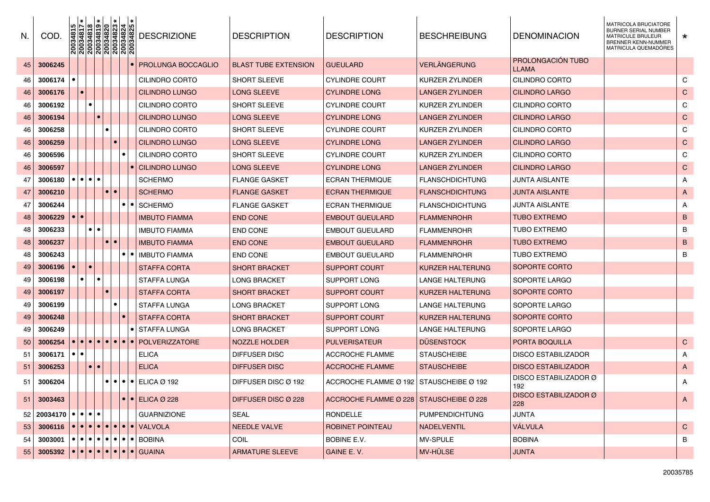| N.   | COD.                                                                                                     | $\begin{array}{ l l l l l } \hline 20034815 \\ \hline 20034817 \\ \hline 20034818 \\ \hline 20034819 \\ \hline 20034819 \\ \hline 20034820 \\ \hline 20034823 \\ \hline 20034824 \\ \hline 20034825 \\ \hline \end{array}$ |                         |           |                  | <b>DESCRIZIONE</b>                                                                                        | <b>DESCRIPTION</b>          | <b>DESCRIPTION</b>                      | <b>BESCHREIBUNG</b>    | <b>DENOMINACION</b>                      | <b>MATRICOLA BRUCIATORE</b><br><b>BURNER SERIAL NUMBER</b><br><b>MATRICULE BRULEUR</b><br><b>BRENNER KENN-NUMMER</b><br><b>MATRICULA QUEMADORES</b> | $\star$      |
|------|----------------------------------------------------------------------------------------------------------|----------------------------------------------------------------------------------------------------------------------------------------------------------------------------------------------------------------------------|-------------------------|-----------|------------------|-----------------------------------------------------------------------------------------------------------|-----------------------------|-----------------------------------------|------------------------|------------------------------------------|-----------------------------------------------------------------------------------------------------------------------------------------------------|--------------|
| 45   | 3006245                                                                                                  |                                                                                                                                                                                                                            |                         |           |                  | <b>PROLUNGA BOCCAGLIO</b>                                                                                 | <b>BLAST TUBE EXTENSION</b> | <b>GUEULARD</b>                         | VERLÄNGERUNG           | <b>PROLONGACIÓN TUBO</b><br><b>LLAMA</b> |                                                                                                                                                     |              |
| 46   | 3006174                                                                                                  |                                                                                                                                                                                                                            |                         |           |                  | CILINDRO CORTO                                                                                            | SHORT SLEEVE                | <b>CYLINDRE COURT</b>                   | KURZER ZYLINDER        | CILINDRO CORTO                           |                                                                                                                                                     | C            |
| 46   | 3006176                                                                                                  |                                                                                                                                                                                                                            |                         |           |                  | CILINDRO LUNGO                                                                                            | LONG SLEEVE                 | <b>CYLINDRE LONG</b>                    | LANGER ZYLINDER        | <b>CILINDRO LARGO</b>                    |                                                                                                                                                     | $\mathsf{C}$ |
| 46   | 3006192                                                                                                  |                                                                                                                                                                                                                            | $\bullet$               |           |                  | CILINDRO CORTO                                                                                            | SHORT SLEEVE                | <b>CYLINDRE COURT</b>                   | KURZER ZYLINDER        | CILINDRO CORTO                           |                                                                                                                                                     | C            |
| 46   | 3006194                                                                                                  |                                                                                                                                                                                                                            |                         |           |                  | CILINDRO LUNGO                                                                                            | LONG SLEEVE                 | <b>CYLINDRE LONG</b>                    | LANGER ZYLINDER        | <b>CILINDRO LARGO</b>                    |                                                                                                                                                     | $\mathsf{C}$ |
| 46   | 3006258                                                                                                  |                                                                                                                                                                                                                            |                         |           |                  | CILINDRO CORTO                                                                                            | <b>SHORT SLEEVE</b>         | <b>CYLINDRE COURT</b>                   | KURZER ZYLINDER        | CILINDRO CORTO                           |                                                                                                                                                     | C            |
| 46   | 3006259                                                                                                  |                                                                                                                                                                                                                            |                         |           |                  | CILINDRO LUNGO                                                                                            | LONG SLEEVE                 | <b>CYLINDRE LONG</b>                    | LANGER ZYLINDER        | <b>CILINDRO LARGO</b>                    |                                                                                                                                                     | $\mathsf{C}$ |
| 46   | 3006596                                                                                                  |                                                                                                                                                                                                                            |                         |           |                  | CILINDRO CORTO                                                                                            | SHORT SLEEVE                | <b>CYLINDRE COURT</b>                   | KURZER ZYLINDER        | CILINDRO CORTO                           |                                                                                                                                                     | C            |
| 46   | 3006597                                                                                                  |                                                                                                                                                                                                                            |                         |           |                  | <b>CILINDRO LUNGO</b>                                                                                     | LONG SLEEVE                 | <b>CYLINDRE LONG</b>                    | LANGER ZYLINDER        | <b>CILINDRO LARGO</b>                    |                                                                                                                                                     | $\mathsf{C}$ |
| 47   | 3006180                                                                                                  |                                                                                                                                                                                                                            | $\bullet\bullet\bullet$ |           |                  | <b>SCHERMO</b>                                                                                            | FLANGE GASKET               | <b>ECRAN THERMIQUE</b>                  | <b>FLANSCHDICHTUNG</b> | <b>JUNTA AISLANTE</b>                    |                                                                                                                                                     | Α            |
| 47   | 3006210                                                                                                  |                                                                                                                                                                                                                            |                         |           |                  | <b>SCHERMO</b>                                                                                            | <b>FLANGE GASKET</b>        | <b>ECRAN THERMIQUE</b>                  | FLANSCHDICHTUNG        | <b>JUNTA AISLANTE</b>                    |                                                                                                                                                     | A            |
| 47   | 3006244                                                                                                  |                                                                                                                                                                                                                            |                         |           | $\bullet\bullet$ | <b>SCHERMO</b>                                                                                            | <b>FLANGE GASKET</b>        | <b>ECRAN THERMIQUE</b>                  | <b>FLANSCHDICHTUNG</b> | <b>JUNTA AISLANTE</b>                    |                                                                                                                                                     | A            |
| 48   | 3006229                                                                                                  |                                                                                                                                                                                                                            |                         |           |                  | <b>IMBUTO FIAMMA</b>                                                                                      | <b>END CONE</b>             | <b>EMBOUT GUEULARD</b>                  | <b>FLAMMENROHR</b>     | <b>TUBO EXTREMO</b>                      |                                                                                                                                                     | B            |
| 48   | 3006233                                                                                                  |                                                                                                                                                                                                                            | $\bullet$               |           |                  | <b>IMBUTO FIAMMA</b>                                                                                      | END CONE                    | <b>EMBOUT GUEULARD</b>                  | <b>FLAMMENROHR</b>     | <b>TUBO EXTREMO</b>                      |                                                                                                                                                     | B            |
| 48   | 3006237                                                                                                  |                                                                                                                                                                                                                            |                         |           |                  | <b>IMBUTO FIAMMA</b>                                                                                      | <b>END CONE</b>             | <b>EMBOUT GUEULARD</b>                  | FLAMMENROHR            | <b>TUBO EXTREMO</b>                      |                                                                                                                                                     | B            |
| 48   | 3006243                                                                                                  |                                                                                                                                                                                                                            |                         |           | $\bullet\bullet$ | <b>IMBUTO FIAMMA</b>                                                                                      | END CONE                    | <b>EMBOUT GUEULARD</b>                  | <b>FLAMMENROHR</b>     | TUBO EXTREMO                             |                                                                                                                                                     | B            |
| 49   | 3006196                                                                                                  |                                                                                                                                                                                                                            | $\bullet$               |           |                  | <b>STAFFA CORTA</b>                                                                                       | <b>SHORT BRACKET</b>        | <b>SUPPORT COURT</b>                    | KURZER HALTERUNG       | SOPORTE CORTO                            |                                                                                                                                                     |              |
| 49   | 3006198                                                                                                  |                                                                                                                                                                                                                            | $\bullet$               |           |                  | STAFFA LUNGA                                                                                              | LONG BRACKET                | SUPPORT LONG                            | LANGE HALTERUNG        | SOPORTE LARGO                            |                                                                                                                                                     |              |
| 49   | 3006197                                                                                                  |                                                                                                                                                                                                                            |                         |           |                  | <b>STAFFA CORTA</b>                                                                                       | <b>SHORT BRACKET</b>        | <b>SUPPORT COURT</b>                    | KURZER HALTERUNG       | SOPORTE CORTO                            |                                                                                                                                                     |              |
| 49   | 3006199                                                                                                  |                                                                                                                                                                                                                            |                         |           |                  | STAFFA LUNGA                                                                                              | LONG BRACKET                | SUPPORT LONG                            | LANGE HALTERUNG        | SOPORTE LARGO                            |                                                                                                                                                     |              |
| 49   | 3006248                                                                                                  |                                                                                                                                                                                                                            |                         |           |                  | <b>STAFFA CORTA</b>                                                                                       | <b>SHORT BRACKET</b>        | <b>SUPPORT COURT</b>                    | KURZER HALTERUNG       | SOPORTE CORTO                            |                                                                                                                                                     |              |
| 49   | 3006249                                                                                                  |                                                                                                                                                                                                                            |                         |           |                  | ∣●I STAFFA LUNGA                                                                                          | LONG BRACKET                | SUPPORT LONG                            | LANGE HALTERUNG        | SOPORTE LARGO                            |                                                                                                                                                     |              |
| 50   | 3006254                                                                                                  |                                                                                                                                                                                                                            |                         |           |                  | $\bullet\bullet\bullet\bullet\bullet\bullet\bullet\bullet\bullet\bullet$ POLVERIZZATORE                   | NOZZLE HOLDER               | <b>PULVERISATEUR</b>                    | <b>DÜSENSTOCK</b>      | <b>PORTA BOQUILLA</b>                    |                                                                                                                                                     | $\mathsf{C}$ |
| 51   | 3006171                                                                                                  | $\bullet\bullet$                                                                                                                                                                                                           |                         |           |                  | ELICA                                                                                                     | DIFFUSER DISC               | ACCROCHE FLAMME                         | <b>STAUSCHEIBE</b>     | <b>DISCO ESTABILIZADOR</b>               |                                                                                                                                                     | A            |
| 51   | 3006253                                                                                                  |                                                                                                                                                                                                                            | $\bullet$               |           |                  | <b>ELICA</b>                                                                                              | <b>DIFFUSER DISC</b>        | <b>ACCROCHE FLAMME</b>                  | <b>STAUSCHEIBE</b>     | <b>DISCO ESTABILIZADOR</b>               |                                                                                                                                                     | A            |
| 51   | 3006204                                                                                                  |                                                                                                                                                                                                                            |                         | $\bullet$ |                  | $\bullet$ $\bullet$ $\bullet$ ELICA Ø 192                                                                 | DIFFUSER DISC Ø 192         | ACCROCHE FLAMME Ø 192                   | STAUSCHEIBE Ø 192      | DISCO ESTABILIZADOR Ø<br>192             |                                                                                                                                                     | A            |
|      | $51$ 3003463                                                                                             |                                                                                                                                                                                                                            |                         |           |                  | $\bullet$ $\bullet$ ELICA Ø 228                                                                           | DIFFUSER DISC Ø 228         | ACCROCHE FLAMME Ø 228 STAUSCHEIBE Ø 228 |                        | <b>DISCO ESTABILIZADOR Ø</b><br>228      |                                                                                                                                                     | A            |
|      | $52 20034170  \bullet   \bullet   \bullet   \bullet$                                                     |                                                                                                                                                                                                                            |                         |           |                  | <b>GUARNIZIONE</b>                                                                                        | SEAL                        | RONDELLE                                | <b>PUMPENDICHTUNG</b>  | <b>JUNTA</b>                             |                                                                                                                                                     |              |
| 53   |                                                                                                          |                                                                                                                                                                                                                            |                         |           |                  | 3006116 $\bullet \bullet \bullet \bullet \bullet \bullet \bullet \bullet \bullet \bullet \bullet \bullet$ | NEEDLE VALVE                | ROBINET POINTEAU                        | <b>NADELVENTIL</b>     | VÁLVULA                                  |                                                                                                                                                     | $\mathbf C$  |
| 54 I | _3003001  ● ● ● ● ● ● ● ● ● BOBINA                                                                       |                                                                                                                                                                                                                            |                         |           |                  |                                                                                                           | <b>COIL</b>                 | BOBINE E.V.                             | MV-SPULE               | <b>BOBINA</b>                            |                                                                                                                                                     | В            |
| 55   | 3005392 $\bullet \bullet \bullet \bullet \bullet \bullet \bullet \bullet \bullet \bullet \bullet$ GUAINA |                                                                                                                                                                                                                            |                         |           |                  |                                                                                                           | <b>ARMATURE SLEEVE</b>      | GAINE E.V.                              | MV-HÜLSE               | <b>JUNTA</b>                             |                                                                                                                                                     |              |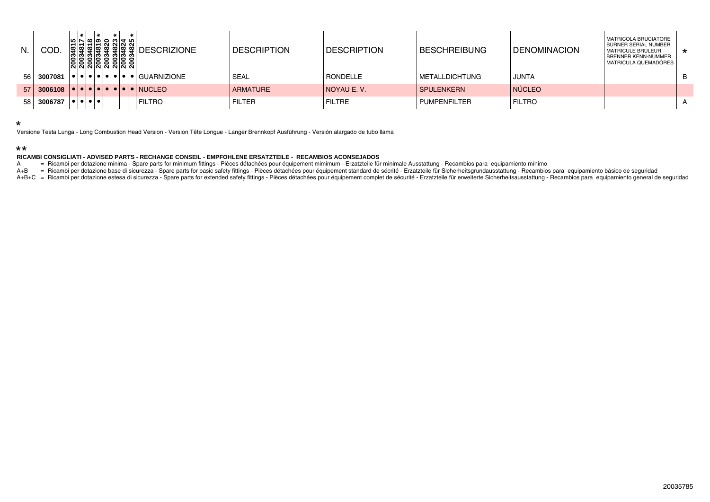| N.              | COD     |  |  |  | 10 N 10 10 10 10 11 10 1<br><b>ENNINO</b><br>88888888<br>'N N N N N N N N N | မြွ မြွှေမြွှေမြွှံ့မြွှံ့မြွှံ့မြွှံ့ပြွှံ့ DESCRIZIONE                                                       | <b>DESCRIPTION</b> | <b>IDESCRIPTION</b> | <b>IBESCHREIBUNG</b>   | <b>I DENOMINACION</b> | MATRICOLA BRUCIATORE<br><b>BURNER SERIAL NUMBER</b><br><b>I MATRICULE BRULEUR</b><br>I BRENNER KENN-NUMMER<br><b>MATRICULA QUEMADÓRES</b> | $\star$ |
|-----------------|---------|--|--|--|-----------------------------------------------------------------------------|----------------------------------------------------------------------------------------------------------------|--------------------|---------------------|------------------------|-----------------------|-------------------------------------------------------------------------------------------------------------------------------------------|---------|
| 56 I            | 3007081 |  |  |  |                                                                             | $\left  \bullet   \bullet   \bullet   \bullet   \bullet   \bullet   \bullet   \bullet   \bullet  $ GUARNIZIONE | <b>SEAL</b>        | <b>RONDELLE</b>     | <b>IMETALLDICHTUNG</b> | JUNTA                 |                                                                                                                                           |         |
| 57 <sup>1</sup> | 3006108 |  |  |  |                                                                             |                                                                                                                | <b>ARMATURE</b>    | I NOYAU E.V.        | <b>SPULENKERN</b>      | <b>NÚCLEO</b>         |                                                                                                                                           |         |
| 58              | 3006787 |  |  |  |                                                                             | <b>FILTRO</b>                                                                                                  | <b>FILTER</b>      | <b>FILTRE</b>       | <b>I PUMPENFILTER</b>  | <b>FILTRO</b>         |                                                                                                                                           |         |

\*

Versione Testa Lunga - Long Combustion Head Version - Version Tête Longue - Langer Brennkopf Ausführung - Versión alargado de tubo llama

## \*\*

## **RICAMBI CONSIGLIATI - ADVISED PARTS - RECHANGE CONSEIL - EMPFOHLENE ERSATZTEILE - RECAMBIOS ACONSEJADOS**

A = Ricambi per dotazione minima - Spare parts for minimum fittings - Pièces détachées pour équipement mimimum - Erzatzteile für minimale Ausstattung - Recambios para equipamiento mínimo

A+B = Ricambi per dotazione base di sicurezza - Spare parts for basic safety fittings - Pièces détachées pour équipement standard de sécrité - Erzatzteile für Sicherheitsgrundausstattung - Recambios para equipamiento básic